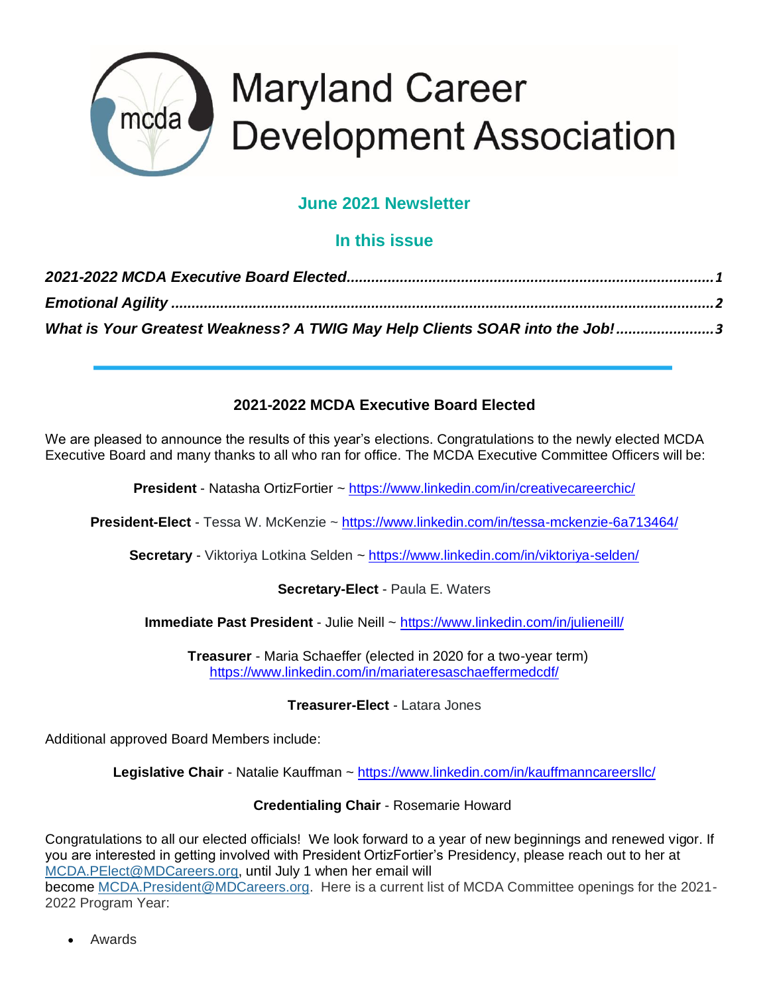<span id="page-0-1"></span>

# **June 2021 Newsletter**

# **In this issue**

*2021-2022 MCDA Executive Board Elected[..........................................................................................1](#page-0-0) Emotional Agility [.....................................................................................................................................2](#page-1-0) [What is Your Greatest Weakness? A TWIG May Help Clients SOAR into the Job!](#page-2-0).......................[.3](#page-2-0)*

## **2021-2022 MCDA Executive Board Elected**

<span id="page-0-0"></span>We are pleased to announce the results of this year's elections. Congratulations to the newly elected MCDA Executive Board and many thanks to all who ran for office. The MCDA Executive Committee Officers will be:

**President** - Natasha OrtizFortier [~ https://www.linkedin.com/in/creativecareerchic/](https://www.linkedin.com/in/creativecareerchic/)

**President-Elect** - Tessa W. McKenzie ~<https://www.linkedin.com/in/tessa-mckenzie-6a713464/>

**Secretary** - Viktoriya Lotkina Selden ~<https://www.linkedin.com/in/viktoriya-selden/>

**Secretary-Elect** - Paula E. Waters

**Immediate Past President** - Julie Neill ~ <https://www.linkedin.com/in/julieneill/>

**Treasurer** - Maria Schaeffer (elected in 2020 for a two-year term) <https://www.linkedin.com/in/mariateresaschaeffermedcdf/>

**Treasurer-Elect** - Latara Jones

Additional approved Board Members include:

Legislative Chair - Natalie Kauffman ~<https://www.linkedin.com/in/kauffmanncareersllc/>

### **Credentialing Chair** - Rosemarie Howard

Congratulations to all our elected officials! We look forward to a year of new beginnings and renewed vigor. If you are interested in getting involved with President OrtizFortier's Presidency, please reach out to her at [MCDA.PElect@MDCareers.org,](mailto:MCDA.PElect@MDCareers.org) until July 1 when her email will become [MCDA.President@MDCareers.org.](mailto:MCDA.President@MDCareers.org) Here is a current list of MCDA Committee openings for the 2021- 2022 Program Year:

• Awards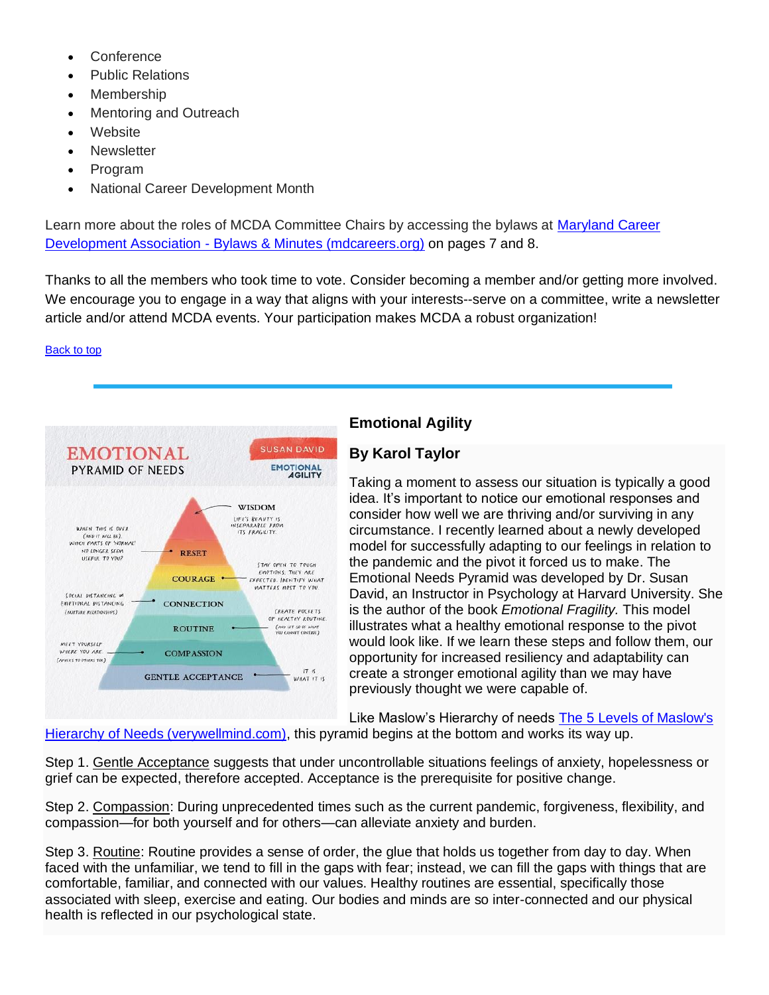- Conference
- Public Relations
- **Membership**
- Mentoring and Outreach
- **Website**
- **Newsletter**
- Program
- National Career Development Month

Learn more about the roles of MCDA Committee Chairs by accessing the bylaws at [Maryland Career](https://mdcareers.org/EmailTracker/LinkTracker.ashx?linkAndRecipientCode=wBmDxIbaDXnUAeF7kAoX49NWPvOXlIf3x1UM89NICjWUFBYTNS3StNHu%2fzZM1r3OiokfvwGC0PES6NX6%2b3Qk4MK2xHQXBTQKvyruczhMe2I%3d)  Development Association - [Bylaws & Minutes \(mdcareers.org\)](https://mdcareers.org/EmailTracker/LinkTracker.ashx?linkAndRecipientCode=wBmDxIbaDXnUAeF7kAoX49NWPvOXlIf3x1UM89NICjWUFBYTNS3StNHu%2fzZM1r3OiokfvwGC0PES6NX6%2b3Qk4MK2xHQXBTQKvyruczhMe2I%3d) on pages 7 and 8.

Thanks to all the members who took time to vote. Consider becoming a member and/or getting more involved. We encourage you to engage in a way that aligns with your interests--serve on a committee, write a newsletter article and/or attend MCDA events. Your participation makes MCDA a robust organization!

#### [Back](#page-0-1) to top



## <span id="page-1-0"></span>**Emotional Agility**

## **By Karol Taylor**

Taking a moment to assess our situation is typically a good idea. It's important to notice our emotional responses and consider how well we are thriving and/or surviving in any circumstance. I recently learned about a newly developed model for successfully adapting to our feelings in relation to the pandemic and the pivot it forced us to make. The Emotional Needs Pyramid was developed by Dr. Susan David, an Instructor in Psychology at Harvard University. She is the author of the book *Emotional Fragility.* This model illustrates what a healthy emotional response to the pivot would look like. If we learn these steps and follow them, our opportunity for increased resiliency and adaptability can create a stronger emotional agility than we may have previously thought we were capable of.

Like Maslow's Hierarchy of needs [The 5 Levels of Maslow's](https://www.verywellmind.com/what-is-maslows-hierarchy-of-needs-4136760)  [Hierarchy of Needs \(verywellmind.com\),](https://www.verywellmind.com/what-is-maslows-hierarchy-of-needs-4136760) this pyramid begins at the bottom and works its way up.

Step 1. Gentle Acceptance suggests that under uncontrollable situations feelings of anxiety, hopelessness or grief can be expected, therefore accepted. Acceptance is the prerequisite for positive change.

Step 2. Compassion: During unprecedented times such as the current pandemic, forgiveness, flexibility, and compassion—for both yourself and for others—can alleviate anxiety and burden.

Step 3. Routine: Routine provides a sense of order, the glue that holds us together from day to day. When faced with the unfamiliar, we tend to fill in the gaps with fear; instead, we can fill the gaps with things that are comfortable, familiar, and connected with our values. Healthy routines are essential, specifically those associated with sleep, exercise and eating. Our bodies and minds are so inter-connected and our physical health is reflected in our psychological state.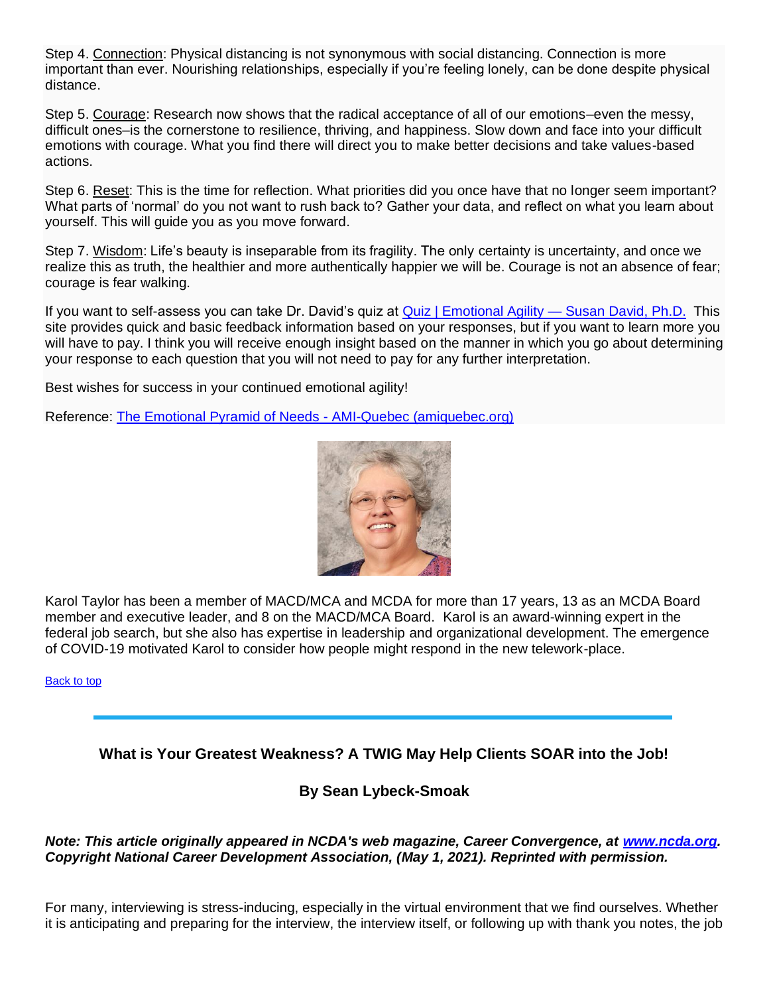Step 4. Connection: Physical distancing is not synonymous with social distancing. Connection is more important than ever. Nourishing relationships, especially if you're feeling lonely, can be done despite physical distance.

Step 5. Courage: Research now shows that the radical acceptance of all of our emotions–even the messy, difficult ones–is the cornerstone to resilience, thriving, and happiness. Slow down and face into your difficult emotions with courage. What you find there will direct you to make better decisions and take values-based actions.

Step 6. Reset: This is the time for reflection. What priorities did you once have that no longer seem important? What parts of 'normal' do you not want to rush back to? Gather your data, and reflect on what you learn about yourself. This will guide you as you move forward.

Step 7. Wisdom: Life's beauty is inseparable from its fragility. The only certainty is uncertainty, and once we realize this as truth, the healthier and more authentically happier we will be. Courage is not an absence of fear; courage is fear walking.

If you want to self-assess you can take Dr. David's quiz at [Quiz | Emotional Agility —](https://www.susandavid.com/quiz) Susan David, Ph.D. This site provides quick and basic feedback information based on your responses, but if you want to learn more you will have to pay. I think you will receive enough insight based on the manner in which you go about determining your response to each question that you will not need to pay for any further interpretation.

Best wishes for success in your continued emotional agility!

Reference: [The Emotional Pyramid of Needs -](https://amiquebec.org/emotional-pyramid-of-needs/#:~:text=The%20Emotional%20Pyramid%20of%20Needs%20Susan%20David%2C%20PhD%2C,embrace%20change%2C%20and%20thrive%20in%20work%20and%20life.) AMI-Quebec (amiquebec.org)



Karol Taylor has been a member of MACD/MCA and MCDA for more than 17 years, 13 as an MCDA Board member and executive leader, and 8 on the MACD/MCA Board. Karol is an award-winning expert in the federal job search, but she also has expertise in leadership and organizational development. The emergence of COVID-19 motivated Karol to consider how people might respond in the new telework-place.

#### [Back](#page-0-1) to top

### <span id="page-2-0"></span>**What is Your Greatest Weakness? A TWIG May Help Clients SOAR into the Job!**

### **By Sean Lybeck-Smoak**

*Note: This article originally appeared in NCDA's web magazine, Career Convergence, at [www.ncda.org.](http://www.ncda.org/) Copyright National Career Development Association, (May 1, 2021). Reprinted with permission.*

For many, interviewing is stress-inducing, especially in the virtual environment that we find ourselves. Whether it is anticipating and preparing for the interview, the interview itself, or following up with thank you notes, the job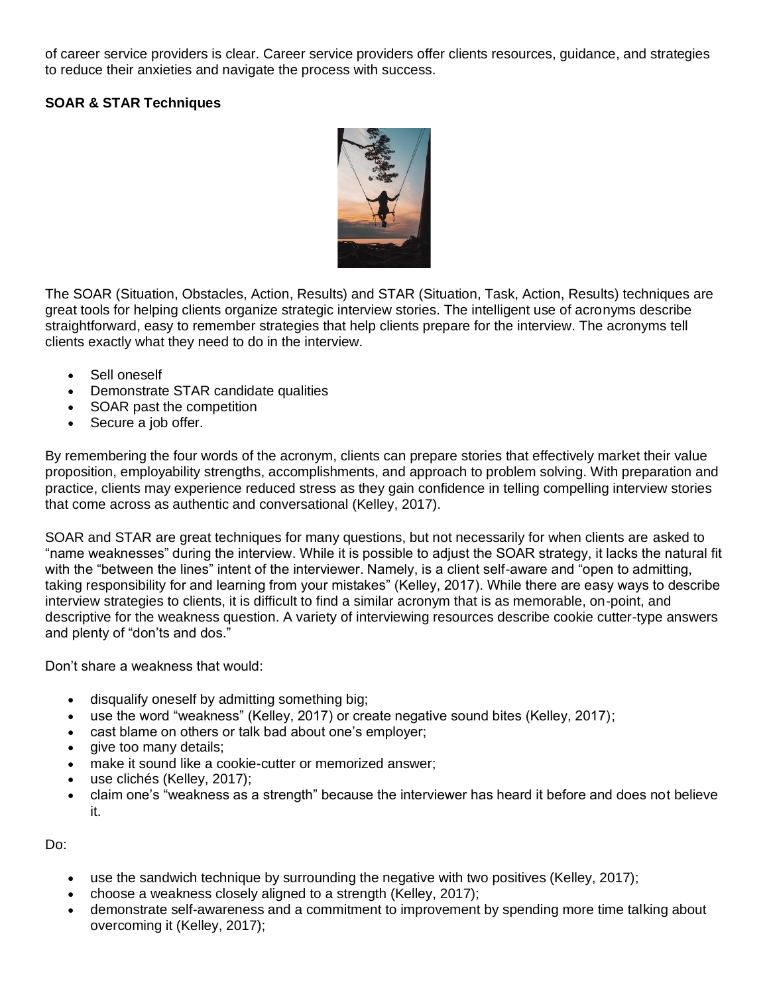of career service providers is clear. Career service providers offer clients resources, guidance, and strategies to reduce their anxieties and navigate the process with success.

### **SOAR & STAR Techniques**



The SOAR (Situation, Obstacles, Action, Results) and STAR (Situation, Task, Action, Results) techniques are great tools for helping clients organize strategic interview stories. The intelligent use of acronyms describe straightforward, easy to remember strategies that help clients prepare for the interview. The acronyms tell clients exactly what they need to do in the interview.

- Sell oneself
- Demonstrate STAR candidate qualities
- SOAR past the competition
- Secure a job offer.

By remembering the four words of the acronym, clients can prepare stories that effectively market their value proposition, employability strengths, accomplishments, and approach to problem solving. With preparation and practice, clients may experience reduced stress as they gain confidence in telling compelling interview stories that come across as authentic and conversational (Kelley, 2017).

SOAR and STAR are great techniques for many questions, but not necessarily for when clients are asked to "name weaknesses" during the interview. While it is possible to adjust the SOAR strategy, it lacks the natural fit with the "between the lines" intent of the interviewer. Namely, is a client self-aware and "open to admitting, taking responsibility for and learning from your mistakes" (Kelley, 2017). While there are easy ways to describe interview strategies to clients, it is difficult to find a similar acronym that is as memorable, on-point, and descriptive for the weakness question. A variety of interviewing resources describe cookie cutter-type answers and plenty of "don'ts and dos."

Don't share a weakness that would:

- disqualify oneself by admitting something big;
- use the word "weakness" (Kelley, 2017) or create negative sound bites (Kelley, 2017);
- cast blame on others or talk bad about one's employer;
- give too many details;
- make it sound like a cookie-cutter or memorized answer;
- use clichés (Kelley, 2017);
- claim one's "weakness as a strength" because the interviewer has heard it before and does not believe it.

Do:

- use the sandwich technique by surrounding the negative with two positives (Kelley, 2017);
- choose a weakness closely aligned to a strength (Kelley, 2017);
- demonstrate self-awareness and a commitment to improvement by spending more time talking about overcoming it (Kelley, 2017);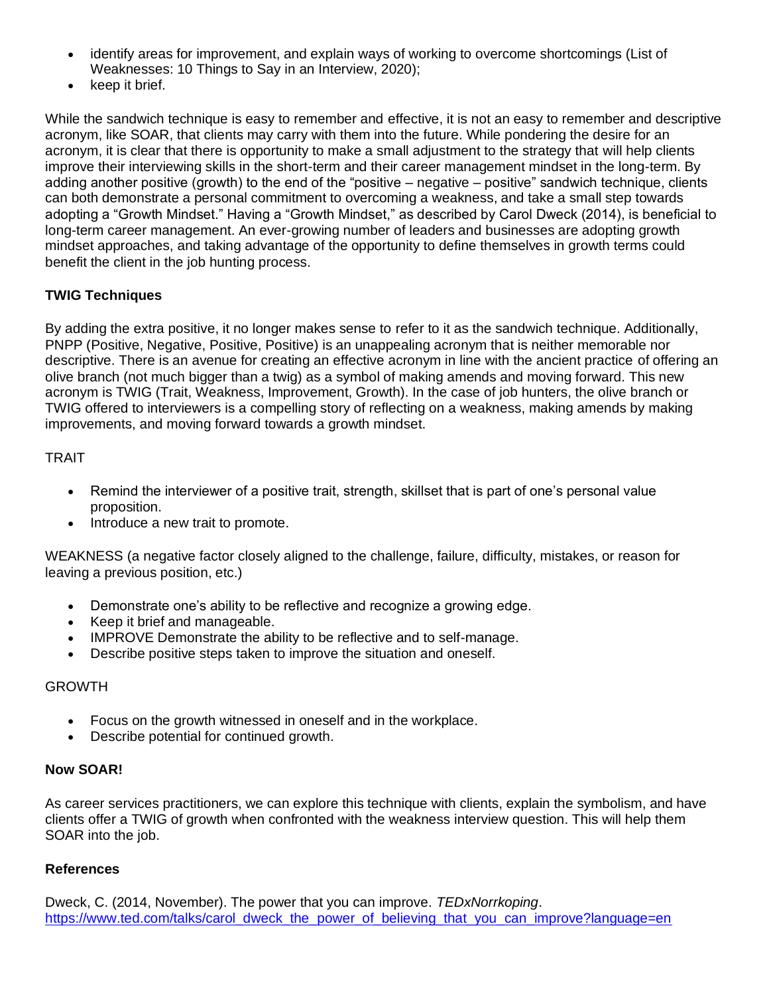- identify areas for improvement, and explain ways of working to overcome shortcomings (List of Weaknesses: 10 Things to Say in an Interview, 2020);
- keep it brief.

While the sandwich technique is easy to remember and effective, it is not an easy to remember and descriptive acronym, like SOAR, that clients may carry with them into the future. While pondering the desire for an acronym, it is clear that there is opportunity to make a small adjustment to the strategy that will help clients improve their interviewing skills in the short-term and their career management mindset in the long-term. By adding another positive (growth) to the end of the "positive – negative – positive" sandwich technique, clients can both demonstrate a personal commitment to overcoming a weakness, and take a small step towards adopting a "Growth Mindset." Having a "Growth Mindset," as described by Carol Dweck (2014), is beneficial to long-term career management. An ever-growing number of leaders and businesses are adopting growth mindset approaches, and taking advantage of the opportunity to define themselves in growth terms could benefit the client in the job hunting process.

## **TWIG Techniques**

By adding the extra positive, it no longer makes sense to refer to it as the sandwich technique. Additionally, PNPP (Positive, Negative, Positive, Positive) is an unappealing acronym that is neither memorable nor descriptive. There is an avenue for creating an effective acronym in line with the ancient practice of offering an olive branch (not much bigger than a twig) as a symbol of making amends and moving forward. This new acronym is TWIG (Trait, Weakness, Improvement, Growth). In the case of job hunters, the olive branch or TWIG offered to interviewers is a compelling story of reflecting on a weakness, making amends by making improvements, and moving forward towards a growth mindset.

### TRAIT

- Remind the interviewer of a positive trait, strength, skillset that is part of one's personal value proposition.
- Introduce a new trait to promote.

WEAKNESS (a negative factor closely aligned to the challenge, failure, difficulty, mistakes, or reason for leaving a previous position, etc.)

- Demonstrate one's ability to be reflective and recognize a growing edge.
- Keep it brief and manageable.
- IMPROVE Demonstrate the ability to be reflective and to self-manage.
- Describe positive steps taken to improve the situation and oneself.

#### **GROWTH**

- Focus on the growth witnessed in oneself and in the workplace.
- Describe potential for continued growth.

#### **Now SOAR!**

As career services practitioners, we can explore this technique with clients, explain the symbolism, and have clients offer a TWIG of growth when confronted with the weakness interview question. This will help them SOAR into the job.

### **References**

Dweck, C. (2014, November). The power that you can improve. *TEDxNorrkoping*. [https://www.ted.com/talks/carol\\_dweck\\_the\\_power\\_of\\_believing\\_that\\_you\\_can\\_improve?language=en](https://www.ted.com/talks/carol_dweck_the_power_of_believing_that_you_can_improve?language=en)